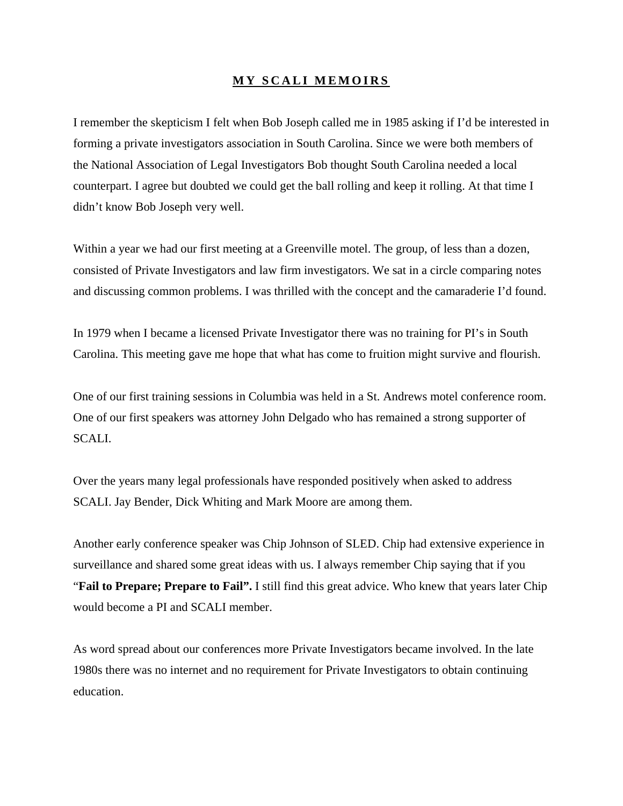## **MY SCALI MEMOIRS**

I remember the skepticism I felt when Bob Joseph called me in 1985 asking if I'd be interested in forming a private investigators association in South Carolina. Since we were both members of the National Association of Legal Investigators Bob thought South Carolina needed a local counterpart. I agree but doubted we could get the ball rolling and keep it rolling. At that time I didn't know Bob Joseph very well.

Within a year we had our first meeting at a Greenville motel. The group, of less than a dozen, consisted of Private Investigators and law firm investigators. We sat in a circle comparing notes and discussing common problems. I was thrilled with the concept and the camaraderie I'd found.

In 1979 when I became a licensed Private Investigator there was no training for PI's in South Carolina. This meeting gave me hope that what has come to fruition might survive and flourish.

One of our first training sessions in Columbia was held in a St. Andrews motel conference room. One of our first speakers was attorney John Delgado who has remained a strong supporter of SCALI.

Over the years many legal professionals have responded positively when asked to address SCALI. Jay Bender, Dick Whiting and Mark Moore are among them.

Another early conference speaker was Chip Johnson of SLED. Chip had extensive experience in surveillance and shared some great ideas with us. I always remember Chip saying that if you "**Fail to Prepare; Prepare to Fail".** I still find this great advice. Who knew that years later Chip would become a PI and SCALI member.

As word spread about our conferences more Private Investigators became involved. In the late 1980s there was no internet and no requirement for Private Investigators to obtain continuing education.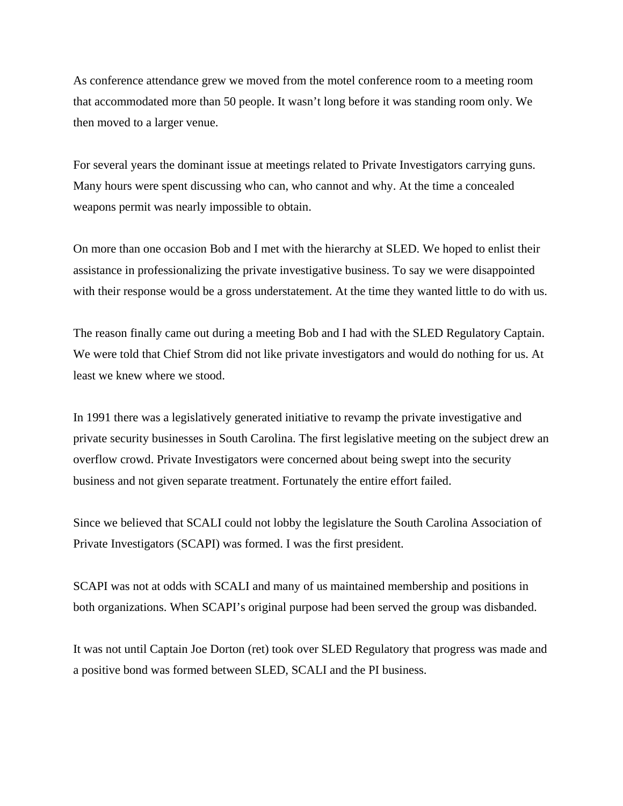As conference attendance grew we moved from the motel conference room to a meeting room that accommodated more than 50 people. It wasn't long before it was standing room only. We then moved to a larger venue.

For several years the dominant issue at meetings related to Private Investigators carrying guns. Many hours were spent discussing who can, who cannot and why. At the time a concealed weapons permit was nearly impossible to obtain.

On more than one occasion Bob and I met with the hierarchy at SLED. We hoped to enlist their assistance in professionalizing the private investigative business. To say we were disappointed with their response would be a gross understatement. At the time they wanted little to do with us.

The reason finally came out during a meeting Bob and I had with the SLED Regulatory Captain. We were told that Chief Strom did not like private investigators and would do nothing for us. At least we knew where we stood.

In 1991 there was a legislatively generated initiative to revamp the private investigative and private security businesses in South Carolina. The first legislative meeting on the subject drew an overflow crowd. Private Investigators were concerned about being swept into the security business and not given separate treatment. Fortunately the entire effort failed.

Since we believed that SCALI could not lobby the legislature the South Carolina Association of Private Investigators (SCAPI) was formed. I was the first president.

SCAPI was not at odds with SCALI and many of us maintained membership and positions in both organizations. When SCAPI's original purpose had been served the group was disbanded.

It was not until Captain Joe Dorton (ret) took over SLED Regulatory that progress was made and a positive bond was formed between SLED, SCALI and the PI business.